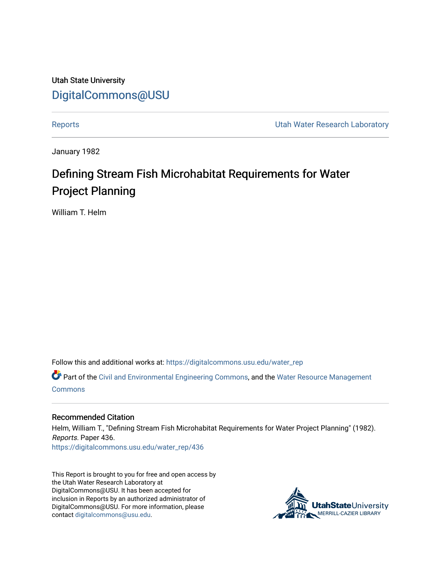Utah State University [DigitalCommons@USU](https://digitalcommons.usu.edu/)

[Reports](https://digitalcommons.usu.edu/water_rep) **National Community Community** Channel Community Utah Water Research Laboratory

January 1982

# Defining Stream Fish Microhabitat Requirements for Water Project Planning

William T. Helm

Follow this and additional works at: [https://digitalcommons.usu.edu/water\\_rep](https://digitalcommons.usu.edu/water_rep?utm_source=digitalcommons.usu.edu%2Fwater_rep%2F436&utm_medium=PDF&utm_campaign=PDFCoverPages) 

Part of the [Civil and Environmental Engineering Commons](http://network.bepress.com/hgg/discipline/251?utm_source=digitalcommons.usu.edu%2Fwater_rep%2F436&utm_medium=PDF&utm_campaign=PDFCoverPages), and the [Water Resource Management](http://network.bepress.com/hgg/discipline/1057?utm_source=digitalcommons.usu.edu%2Fwater_rep%2F436&utm_medium=PDF&utm_campaign=PDFCoverPages) **[Commons](http://network.bepress.com/hgg/discipline/1057?utm_source=digitalcommons.usu.edu%2Fwater_rep%2F436&utm_medium=PDF&utm_campaign=PDFCoverPages)** 

#### Recommended Citation

Helm, William T., "Defining Stream Fish Microhabitat Requirements for Water Project Planning" (1982). Reports. Paper 436. [https://digitalcommons.usu.edu/water\\_rep/436](https://digitalcommons.usu.edu/water_rep/436?utm_source=digitalcommons.usu.edu%2Fwater_rep%2F436&utm_medium=PDF&utm_campaign=PDFCoverPages)

This Report is brought to you for free and open access by the Utah Water Research Laboratory at DigitalCommons@USU. It has been accepted for inclusion in Reports by an authorized administrator of DigitalCommons@USU. For more information, please contact [digitalcommons@usu.edu](mailto:digitalcommons@usu.edu).

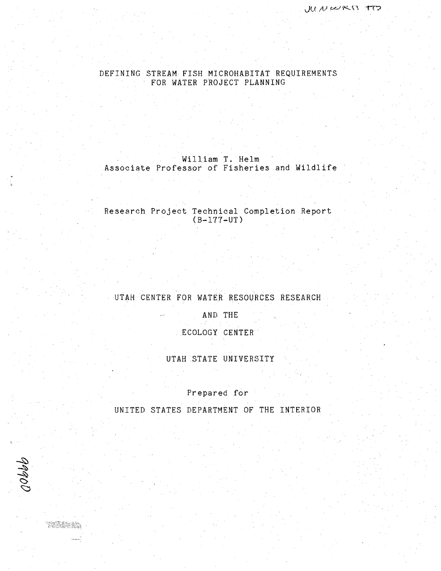### DEFINING STREAM FISH MICROHABITAT REQUIREMENTS FOR WATER PROJECT PLANNING

William T. Helm Associate Professor of Fisheries and Wildlife

### Research Project Technical Completion Report (B-177-UT)

## UTAH CENTER FOR WATER RESOURCES RESEARCH

AND THE

.ECOLOGY CENTER·

UTAH STATE UNIVERSITY

Prepared for

UNITED STATES DEPARTMENT OF THE INTERIOR



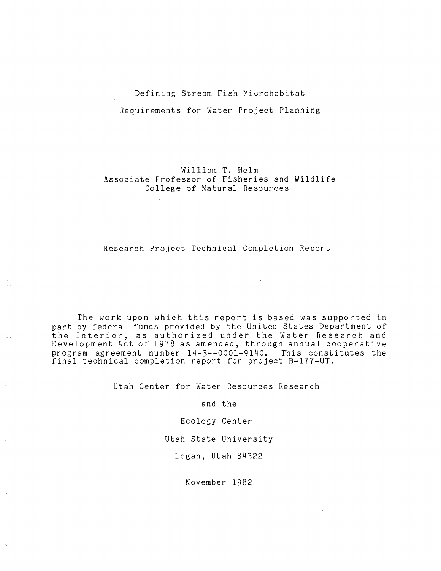# Defining Stream Fish Microhabitat Requirements for Water Project Planning

William **T.** Helm Associate Professor of Fisheries and Wildlife College of Natural Resources

#### Research Project Technical Completion Report

The work upon which this report is based was supported in part by federal funds provided by the United States Department of part by rederal runds provided by the onliced beates bepartment of Development Act of 1978 as amended, through annual cooperative program agreement number 14-34-0001-9140. This constitutes the final technical completion report for project B-177-UT.

Utah Center for Water Resources Research

and the

Ecology Center

Utah State University

Logan, Utah 84322

November 1982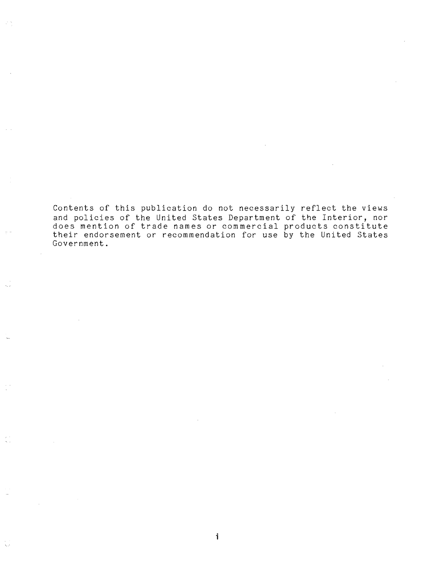Contents of this publication do not necessarily reflect the views and policies of the United States Department of the Interior, nor does mention of trade names or commercial products constitute their endorsement or recommendation for use by the United States Government.

 $\mathcal{L}^{(1)}$ 

i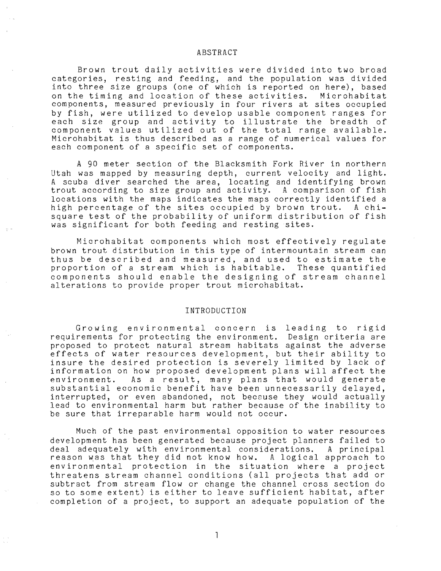#### ABSTRACT

Brown trout daily activities were divided into two broad categories, resting and feeding, and the population was divided into three size groups (one of which is reported on here), based on the timing and location of these activities. Microhabitat components, measured previously in four rivers at sites occupied by fish, were utilized to develop usable component ranges for by itsn, were utifized to develop dsable component ranges for<br>each size group and activity to illustrate the breadth of each size group and activity to fifustrate the breadth of<br>component values utilized out of the total range available. Microhabitat is thus described as a range of numerical values for each component of a specific set of components.

A go meter section of the Blacksmith Fork River in northern Utah was mapped by measuring depth, current velocity and light. A scuba diver searched the area, locating and identifying brown trout according to size group and activity. A comparison of fish locations with the maps indicates the maps correctly identified a high percentage of the sites occupied by brown trout. A chisquare test of the probability of uniform distribution of fish was significant for both feeding and resting sites.

Microhabitat components which most effectively regulate brown trout distribution in this type of intermountain stream can thus be described and measured, and used to estimate the proportion of a stream which is habitable. These quantified components should enable the designing of stream channel alterations to provide proper trout microhabitat.

#### INTRODUCTION

Growing environmental concern is leading to rigid requirements for protecting the environment. Design criteria are proposed to protect natural stream habitats against the adverse effects of water resources development, but their ability to insure the desired protection is severely limited by lack of information on how proposed development plans will affect the environment. As a result, many plans that would generate substantial economic benefit have been unnecessarily delayed, interrupted, or even abandoned, not because they would actually lead to environmental harm but rather because of the inability to be sure that irreparable harm would not occur.

Much of the past environmental opposition to water resources development has been generated because project planners failed to deal adequately with environmental considerations. A principal reason was that they did not know how. A logical approach to environmental protection in the situation where a project threatens stream channel conditions (all projects that add or subtract from stream flow or change the channel cross section do so to some extent) is either to leave sufficient habitat, after completion of a project, to support an adequate population of the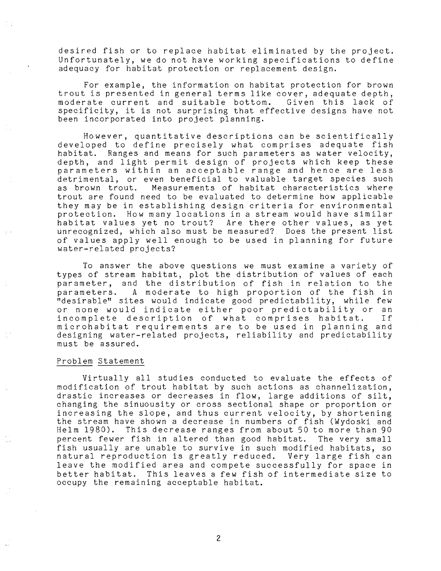desired fish or to replace habitat eliminated by the project. Unfortunately, we do not have working specifications to define adequacy for habitat protection or replacement design.

For example, the information on habitat protection for brown trout is presented in general terms like cover, adequate depth, moderate current and suitable bottom. Given this lack of specificity, it is not surprising that effective designs have not been incorporated into project planning.

However, quantitative descriptions can be scientifically developed to define precisely what comprises adequate fish habitat. Ranges and means for such parameters as water velocity, depth, and light permit design of projects which keep these parameters within an acceptable range and hence are less detrimental, or even beneficial to valuable target species such as brown trout. Measurements of habitat characteristics where trout are found need to be evaluated to determine how applicable they may be in establishing design criteria for environmental protection. How many locations in a stream would have similar habitat values yet no trout? Are there other values, as yet unrecognized, which also must be measured? Does the present list of values apply well enough to be used in planning for future water-related projects?

To answer the above questions we must examine a variety of types of stream habitat, plot the distribution of values of each parameter, and the distribution of fish in relation to the parameters. A moderate to high proportion of the fish in "desirable" sites would indicate good predictability, while few or none would indicate either poor predictability or an<br>incomplete description of what comprises habitat. If incomplete description of what comprises habitat. microhabitat requirements are to be used in planning and designing water-related projects, reliability and predictability must be assured.

#### Problem Statement

Virtually all studies conducted to evaluate the effects of modification of trout habitat by such actions as channelization, drastic increases or decreases in flow, large additions of silt, changing the sinuousity or cross sectional shape or proportion or increasing the slope, and thus current velocity, by shortening the stream have shown a decrease in numbers of fish (Wydoski and Helm 1980). This decrease ranges from about 50 to more than 90 percent fewer fish in altered than good habitat. The very small fish usually are unable to survive in such modified habitats, so natural reproduction is greatly reduced. Very large fish can leave the modified area and compete successfully for space in better habitat. This leaves a few fish of intermediate size to occupy the remaining acceptable habitat.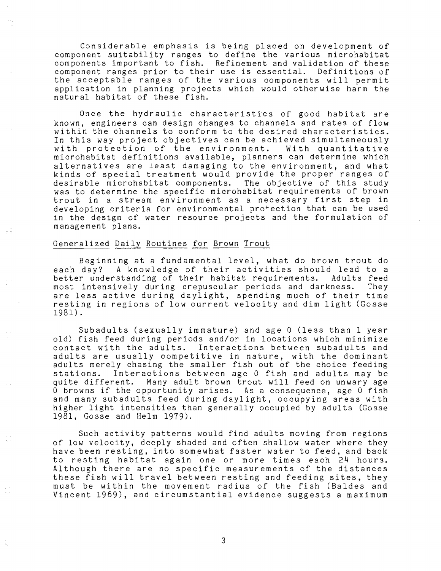Considerable emphasis is being placed on development of component suitability ranges to define the various microhabitat<br>components important to fish. Refinement and validation of these Refinement and validation of these component ranges prior to their use is essential. Definitions of the acceptable ranges of the various components will permit application in planning projects which would otherwise harm the natural habitat of these fish.

Once the hydraulic characteristics of good habitat are known, engineers can design changes to channels and rates of flow within the channels to conform to the desired characteristics. In this way project objectives can be achieved simultaneously<br>with protection of the environment. With quantitative with protection of the environment. microhabitat definitions available, planners can determine which alternatives are least damaging to the environment, and what kinds of special treatment would provide the proper ranges of desirable microhabitat components. The objective of this study was to determine the specific microhabitat requirements of brown trout in a stream environment as a necessary first step in developing criteria for environmental protection that can be used in the design of water resource projects and the formulation of management plans.

#### Generalized Daily Routines for Brown Trout

Beginning at a fundamental level, what do brown trout do each day? A knowledge of their activities should lead to a<br>better understanding of their habitat requirements. Adults feed better understanding of their habitat requirements. most intensively during crepuscular periods and darkness. They are less active during daylight, spending much of their time resting in regions of low current velocity and dim light (Gosse 1981).

Subadults (sexually immature) and age 0 (less than 1 year old) fish feed during periods and/or in locations which minimize contact with the adults. Interactions between subadults and adults are usually competitive in nature, with the dominant adults merely chasing the smaller fish out of the choice feeding stations. Interactions between age 0 fish and adults may be quite different. Many adult brown trout will feed on unwary age  $\overline{0}$  browns if the opportunity arises. As a consequence, age  $0$  fish and many subadults feed during daylight, occupying areas with higher light intensities than generally occupied by adults (Gosse 1981, Gosse and Helm 1979),

Such activity patterns would find adults moving from regions of low velocity, deeply shaded and often shallow water where they have been resting, into somewhat faster water to feed, and back to resting habitat again one or more times each 24 hours. Although there are no specific measurements of the distances these fish will travel between resting and feeding sites, they must be within the movement radius of the fish (Baldes and Vincent 1969), and circumstantial evidence suggests a maximum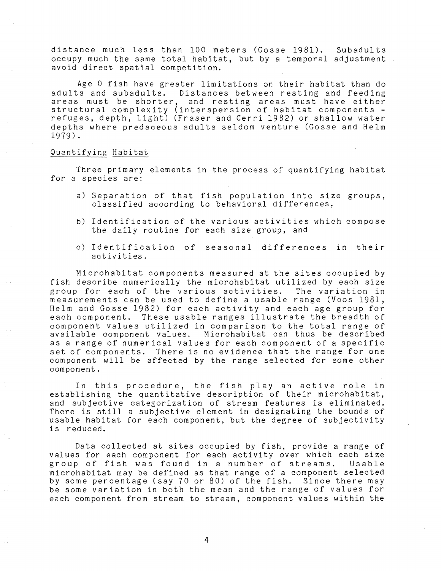distance much less than 100 meters (Gosse 1981). Subadults occupy much the same total habitat, but by a temporal adjustment avoid direct spatial competition.

Age 0 fish have greater limitations on their habitat than do adults and subadults. Distances between resting and feeding addres and subaddres. This ances seeween reserng and recurns<br>areas must be shorter, and resting areas must have either structural complexity (interspersion of habitat components - refuges, depth, light) (Fraser and Cerri 1982) or shallow water depths where predaceous adults seldom venture (Gosse and Helm 1979).

#### Quantifying Habitat

Three primary elements in the process of quantifying habitat for a species are:

- a) Separation of that fish population into size groups, classified according to behavioral differences,
- b) Identification of the various activities which compose the daily routine for each size group, and
- c) Identification of seasonal differences in their activities.

Microhabitat components measured at the sites occupied by fish describe numerically the microhabitat utilized by each size group for each of the various activities. The variation in measurements can be used to define a usable range (Voos 1981, Helm and Gosse 1982) for each activity and each age group for each component. These usable ranges illustrate the breadth of component values utilized in comparison to the total range of available component values. Microhabitat can thus be described as a range of numerical values for each component of a specific set of components. There is no evidence that the range for one component will be affected by the range selected for some other component.

In this procedure, the fish play an active role in establishing the quantitative description of their microhabitat, and subjective categorization of stream features is eliminated. There is still a subjective element in designating the bounds of usable habitat for each component, but the degree of subjectivity is red uced.

Data collected at sites occupied by fish, provide a range of values for each component for each activity over which each size<br>group of fish was found in a number of streams. Usable group of fish was found in a number of streams. microhabitat may be defined as that range of a component selected by some percentage (say 70 or 80) of the fish. Since there may be some variation in both the mean and the range of values for each component from stream to stream, component values within the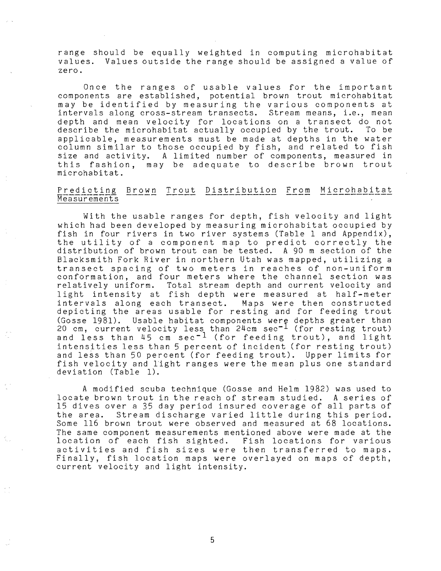range should be equally weighted in computing microhabitat values. Values outside the range should be assigned a value of zero.

Once the ranges of usable values for the important components are established, potential brown trout microhabitat may be identified by measuring the various components at intervals along cross-stream transects. Stream means, **Le.,** mean depth and mean velocity for locations on a transect do not describe the microhabitat actually occupied by the trout. To be applicable, measurements must be made at depths in the water column similar to those occupied by fish, and related to fish size and activity. A limited number of components, measured in this fashion, may be adequate to describe brown trout microhabitat.

# Predicting Brown Trout Distribution From Microhabitat<br>Measurements

With the usable ranges for depth, fish velocity and light which had been developed by measuring microhabitat occupied by fish in four rivers in two river systems (Table 1 and Appendix), the utility of a component map to predict correctly the distribution of brown trout can be tested. A 90 m section of the Blacksmith Fork River in northern Utah was mapped, utilizing a transect spacing of two meters in reaches of non-uniform conformation, and four meters where the channel section was relatively uniform. Total stream depth and current velocity and light intensity at fish depth were measured at half-meter intervals along each transect. Maps were then constructed depicting the areas usable for resting and for feeding trout (Gosse 1981). Usable habitat components were depths greater than absection. Consider this componence were depoint greater than 20 cm, current velocity less than 24cm sec<sup>-1</sup> (for resting trout) and less than 45 cm sec<sup>-1</sup> (for feeding trout), and light intensities less than 5 percent of incident (for resting trout) and less than 50 percent (for feeding trout). Upper limits for fish velocity and light ranges were the mean plus one standard deviation (Table **1).** 

A modified scuba technique (Gosse and Helm 1982) was used to locate brown trout in the reach of stream studied. A series of 15 dives over a 35 day period insured coverage of all parts of 15 dives over a 35 day period insured coverage of all parts of<br>the area. Stream discharge varied little during this period. Some 116 brown trout were observed and measured at 68 locations. The same component measurements mentioned above were made at the location of each fish sighted. Fish locations for various activities and fish sizes were then transferred to maps. Finally, fish location maps were overlayed on maps of depth, current velocity and light intensity.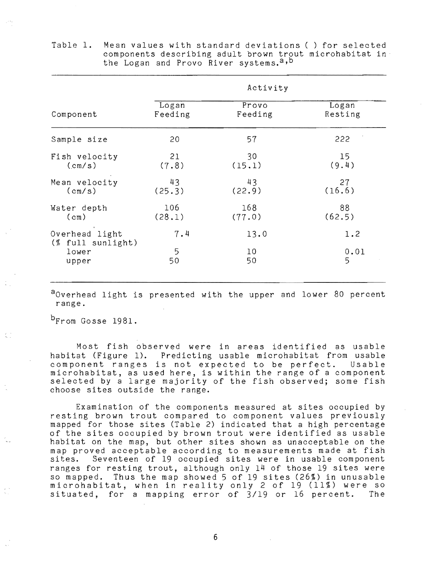|                                     | Activity |         |         |  |
|-------------------------------------|----------|---------|---------|--|
| Component                           | Logan    | Provo   | Logan   |  |
|                                     | Feeding  | Feeding | Resting |  |
| Sample size                         | 20       | 57      | 222     |  |
| Fish velocity                       | 21       | 30      | 15      |  |
| $(\text{cm/s})$                     | (7.8)    | (15.1)  | (9.4)   |  |
| Mean velocity                       | 43       | 43      | 27      |  |
| $(\text{cm/s})$                     | (25.3)   | (22.9)  | (16.6)  |  |
| Water depth                         | 106      | 168     | 88      |  |
| (c <sub>m</sub> )                   | (28.1)   | (77.0)  | (62.5)  |  |
| Overhead light<br>(% full sunlight) | 7.4      | 13.0    | 1.2     |  |
| lower                               | 5        | 10      | 0.01    |  |
| upper                               | 50       | 50      | 5       |  |

Table 1. Mean values with standard deviations ( ) for selected components describing adult brown trout microhabitat in· the Logan and Provo River systems.<sup>a,b</sup>

a<sub>Overhead light is presented with the upper and lower 80 percent</sub> range.

<sup>D</sup>From Gosse 1981.

Most fish observed were in areas identified as usable habitat (Figure 1). Predicting usable microhabitat from usable component ranges is not expected to be perfect. Usable microhabitat, as used here, is within the range of a component selected by a large majority of the fish observed; some fish choose sites outside the range.

Examination of the components measured at sites occupied by resting brown trout compared to component values previously mapped for those sites (Table 2) indicated that a high percentage of the sites occupied by brown trout were identified as usable habitat on the map, but other sites shown as unacceptable on the map proved acceptable according to measurements made at fish sites. Seventeen of 19 occupied sites were in usable component ranges for resting trout, although only 14 of those 19 sites were so mapped. Thus the map showed 5 of 19 sites (26%) in unusable microhabitat, when in reality only 2 of 19 (11%) were so<br>situated, for a mapping error of 3/19 or 16 percent. The situated, for a mapping error of 3/19 or 16 percent.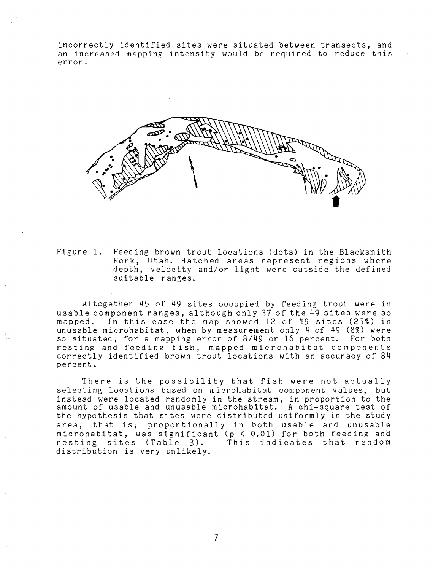incorrectly identified sites were situated between transects, and an increased mapping intensity would be required to reduce this error.



Figure 1. Feeding brown trout locations (dots) in the Blacksmith Fork, Utah. Hatched areas represent regions where depth, velocity and/or light were outside the defined suitable ranges.

Altogether 45 of 49 sites occupied by feeding trout were in usable component ranges, although only 37 of the 49 sites were so mapped. In this case the map showed 12 of 49 sites (25%) in unusable microhabitat, when by measurement only 4 of 49 (8%) were so situated, for a mapping error of 8/49 or 16 percent. For both resting and feeding fish, mapped microhabitat components correctly identified brown trout locations with an accuracy of 84 percent.

There is the possibility that fish were not actually selecting locations based on microhabitat component values, but instead were located randomly in the stream, in proportion to the amount of usable and unusable microhabitat. A chi-square test of the hypothesis that sites were distributed uniformly in the study area, that is, proportionally in both usable and unusable microhabitat, was significant (p < 0.01) for both feeding and micromabitat, was significant (p < 0.01) for both reeding and<br>resting sites (Table 3). This indicates that random resting sites (Table 3).<br>distribution is very unlikely.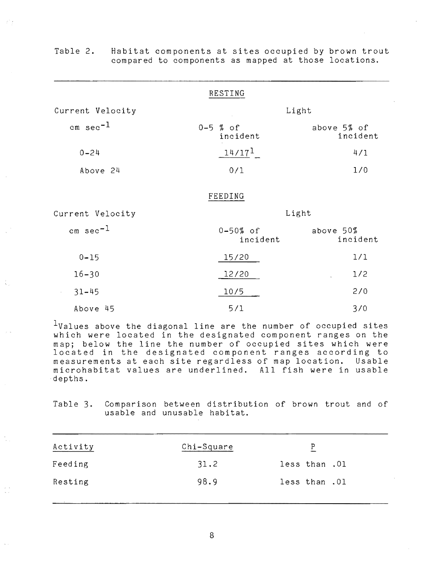|                  | RESTING                  |                         |  |
|------------------|--------------------------|-------------------------|--|
| Current Velocity | Light                    |                         |  |
| cm $sec^{-1}$    | $0 - 5$ % of<br>incident | above 5% of<br>incident |  |
| $0 - 24$         | $14/17$ <sup>1</sup>     | 4/1                     |  |
| Above 24         | 0/1                      | 1/0                     |  |
|                  | FEEDING                  |                         |  |

Table 2. Habitat components at sites occupied by brown trout compared to components as mapped at those locations.

Current Velocity

cm  $sec^{-1}$ 0-15 16-30 31-45 Above 45 0-50% of incident *15/20 12/20 10/5 511*  above 50% incident  $1/1$ *112 2/0 3/0* 

Light

 $1$ Values above the diagonal line are the number of occupied sites which were located in the designated component ranges on the map; below the line the number of occupied sites which were located in the designated component ranges according to<br>measurements at each site regardless of map location. Usable measurements at each site regardless of map location. microhabitat values are underlined. All fish were in usable depths.

Table 3. Comparison between distribution of brown trout and of usable and unusable habitat.

| Activity | Chi-Square | Ρ             |
|----------|------------|---------------|
| Feeding  | 31.2       | less than .01 |
| Resting  | 98.9       | less than .01 |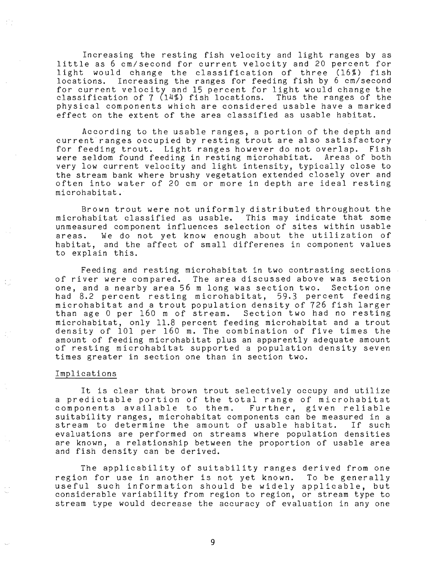Increasing the resting fish velocity and light ranges by as little as 6 cm/second for current velocity and 20 percent for light would change the classification of three (16%) fish locations. Increasing the ranges for feeding fish by 6 cm/second for current velocity and 15 percent for light would change the classification of 7 (14%) fish locations. Thus the ranges of the physical components which are considered usable have a marked effect on the extent of the area classified as usable habitat.

According to the usable ranges, a portion of the depth and current ranges occupied by resting trout are also satisfactory<br>for feeding trout. Light ranges however do not overlap. Fish for feeding trout. Light ranges however do not overlap. were seldom found feeding in resting microhabitat. Areas of both very low current velocity and light intensity, typically close to the stream bank where brushy vegetation extended closely over and often into water of 20 cm or more in depth are ideal resting microhabitat.

Brown trout were not uniformly distributed throughout the microhabitat classified as usable. This may indicate that some unmeasured component influences selection of sites within usable areas. We do not yet know enough about the utilization of habitat, and the affect of small differenes in component values to explain this.

Feeding and resting microhabitat in two contrasting sections of river were compared. The area discussed above was section one, and a nearby area 56 m long was section two. Section one had 8.2 percent resting microhabitat, 59.3 percent feeding microhabitat and a trout population density of 726 fish larger than age 0 per 160 m of stream. Section two had no resting than age 0 per 160 m of stream. Section two had no resting<br>microhabitat, only 11.8 percent feeding microhabitat and a trout density of 101 per 160 **m.** The combination of five times the amount of feeding microhabitat plus an apparently adequate amount of resting microhabitat supported a population density seven times greater in section one than in section two.

#### Implications

It is clear that brown trout selectively occupy and utilize a predictable portion of the total range of microhabitat a predictable portion of the total range of micronabitat<br>components available to them. Further, given reliable suitability ranges, microhahitat components can be measured in a stream to determine the amount of usable habitat. If such evaluations are performed on streams where population densities are known, a relationship between the proportion of usable area and fish density can be derived.

The applicability of suitability ranges derived from one region for use in another is not yet known. To be generally useful such information should be widely applicable, but considerable variability from region to region, or stream type to stream type would decrease the accuracy of evaluation in anyone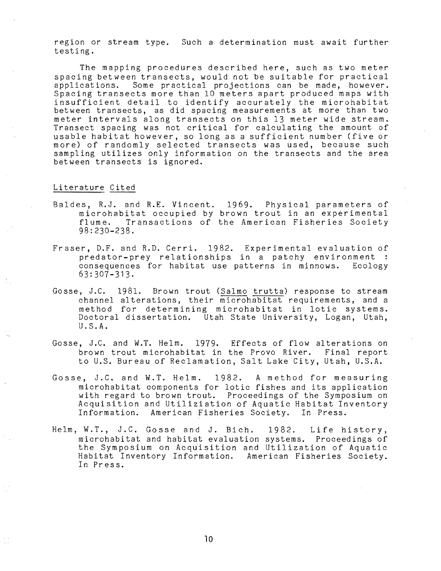region or stream type. Such a determination must await further testing.

The mapping procedures described here, such as two meter spacing between transects, would not be suitable for practical applications. Some practical projections can be made, however. Spacing transects more than 10 meters apart produced maps with insufficient detail to identify accurately the microhabitat between transects, as did spacing measurements at more than two meter intervals along transects on this 13 meter wide stream. Transect spacing was not critical for calculating the amount of usable habitat however, so long as a sufficient number (five or more) of randomly selected transects was used, because such sampling utilizes only information on the transects and the area between transects is ignored.

#### Literature Cited

- Baldes, R.J. and R.E. Vincent. 1969. Physical parameters of microhabitat occupied by brown trout in an experimental flume. Transactions of the American Fisheries Society 98:230-238.
- Fraser, D.F. and R.D. Cerri. 1982. Experimental evaluation of predator-prey relationships in a patchy environment :<br>consequences for habitat use patterns in minnows. Ecology consequences for habitat use patterns in minnows. 63:307-313.
- Gosse, J.C. 1981. Brown trout (Salmo trutta) response to stream channel alterations, their microhabitat requirements, and a method for determining microhabitat in lotic systems. Doctoral dissertation. Utah State University, Logan, Utah, U.S.A.
- Gosse, J.C. and W.T. Helm. 1979. Effects of flow alterations on brown trout microhabitat in the Provo River. Final report to U.S. Bureau of Reclamation, Salt Lake City, Utah, U.S.A.
- Gosse, J.C. and W.T. Helm. 1982. A method for measuring microhabitat components for lotic fishes and its application with regard to brown trout. Proceedings of the Symposium on Acquisition and Utiliziation of Aquatic Habitat Inventory Information. American Fisheries Society. In Press.
- Helm, W.T., J.C. Gosse and J. Bich. 1982. Life history, microhabitat and habitat evaluation systems. Proceedings of the Symposium on Acquisition and Utilization of Aquatic Habitat Inventory Information. American Fisheries Society. In Press.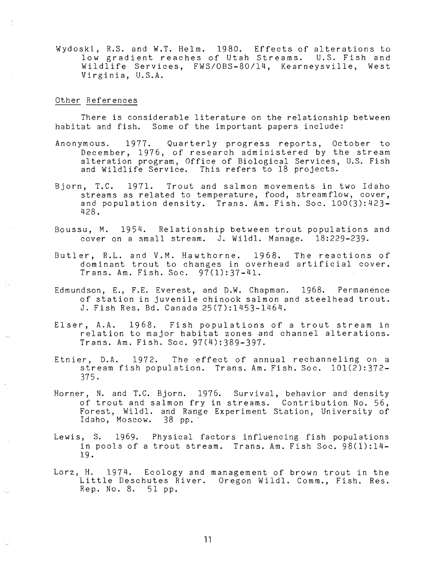Wydoski, R.S. and W.T. Helm. 1980. Effects of alterations to low gradient reaches of Utah Streams. U.S. Fish and Wildlife Services, FWS/OBS-80/14, Kearneysville, West Virginia, U.S.A.

#### Other References

There is considerable literature on the relationship between habitat and fish. Some of the important papers include:

- Anonymous. 1977. Quarterly progress reports, October to December, 1976, of research administered by the stream alteration program, Office of Biological Services, U.S. Fish and Wildlife Service. This refers to 18 projects.
- Bjorn, T.C. 1971. Trout and salmon movements in two Idaho streams as related to temperature, food, streamflow, cover, and population density. Trans. Am. Fish. Soc. 100(3):423- 428.
- Boussu, M. 1954. Relationship between trout populations and cover on a small stream. J. Wildl. Manage. 18:229-239.
- Butler, R.L. and V.M. Hawthorne. 1968. The reactions of dominant trout to changes in overhead artificial cover. Trans. Am. Fish. Soc. 97(1):37-41.
- Edmundson, L, F.E. Everest, and D.W. Chapman. 1968. Permanence of station in juvenile chinook salmon and steelhead trout. J. Fish Res. Bd. Canada 25(7):1453-1464.
- Elser, A.A. 1968. Fish populations of a trout stream in relation to major habitat zones and channel alterations. Trans. Am. Fish. Soc. 97(4):389-397.
- Etnier, D.A. 1972. The effect of annual rechanneling on a stream fish population. Trans. Am. Fish. Soc. 101(2):372- 375.
- Horner, N. and T.C. Bjorn. 1976. Survival, behavior and density of trout and salmon fry in streams. Contribution No. 56, Forest, Wildl. and Range Experiment Station, University of Idaho, Moscow. 38 pp.
- Lewis, S. 1969. Physical factors influencing fish populations in pools of a trout stream. Trans. Am. Fish Soc. 98(1):14- 19.
- Lorz, H. 1974. Ecology and management of brown trout in the Little Deschutes River. Oregon Wild1. Comm., Fish. Res. Rep. No.8. 51 pp.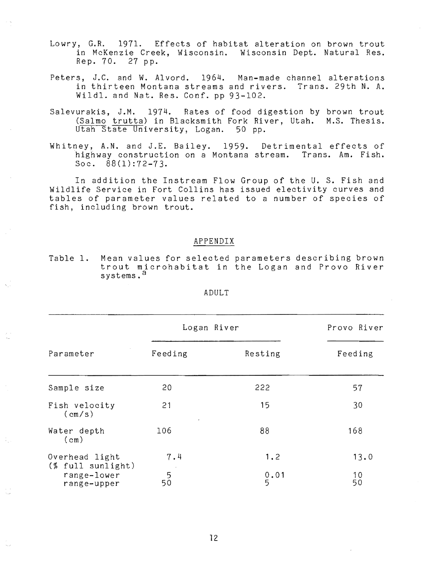- Lowry, G.R. 1971. Effects of habitat alteration on brown trout in McKenzie Creek, Wisconsin. Wisconsin Dept. Natural Res. Rep. 70. 27 pp.
- Peters, J.C. and W. Alvord. 1964. Man-made channel alterations in thirteen Montana streams and rivers. Trans. 29th N. A. Wildl. and Nat. Res. Conf. pp 93-102.
- Salevurakis, J.M. 1974. Rates of food digestion by brown trout (Salmo trutta) in Blacksmith Fork River, Utah. M.S. Thesis. Utah-State University, Logan. 50 pp.
- Whitney, A.N. and J.E. Bailey. 1959. Detrimental effects of highway construction on a Montana stream. Trans. Am. Fish. Soc. 88(1):72-73.

In addition the Instream Flow Group of the U. S. Fish and Wildlife Service in Fort Collins has issued electivity curves and tables of parameter values related to a number of species of fish, including brown trout.

#### APPENDIX

Table 1. Mean values for selected parameters describing brown trout microhabitat in the Logan and Provo River systems. a

|                                                    | Logan River      |                  | Provo River |  |
|----------------------------------------------------|------------------|------------------|-------------|--|
| Parameter                                          | Feeding          | Resting          | Feeding     |  |
| Sample size                                        | 20               | 222              | 57          |  |
| Fish velocity<br>$(\text{cm/s})$                   | 21<br>$\epsilon$ | 15               | 30          |  |
| Water depth<br>(cm)                                | 106              | 88               | 168         |  |
| Overhead light                                     | 7.4              | 1.2              | 13.0        |  |
| $( %$ full sunlight)<br>range-lower<br>range-upper | 50               | $\frac{0.01}{5}$ | 10<br>50    |  |

ADULT